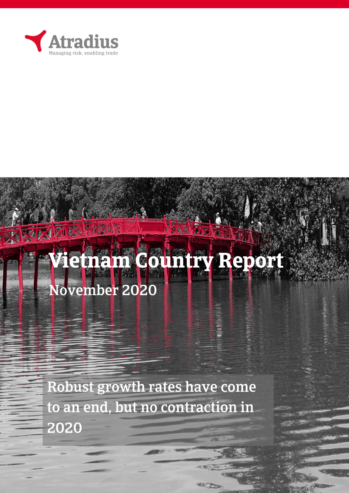

[Grab your reader's

XXXXXX

any where on the page of the page, it is not the page of the page, it is not the page, it is not the page, it

24 234

# **Vietnam Country Report**  November 2020

at the document or use the document or use the document or use the space to expanding  $\mathbf{r}$ 

Robust growth rates have come to an end, but no contraction in 2020

**COLOR**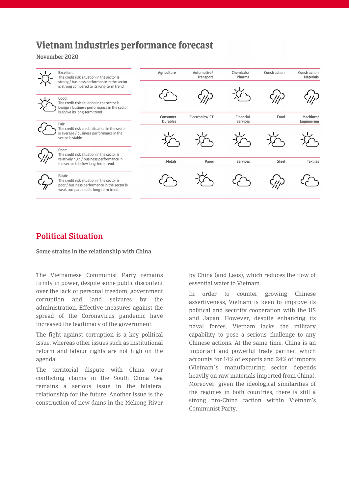## Vietnam industries performance forecast

November 2020

|  | Excellent:<br>The credit risk situation in the sector is                                                                                      | Agriculture                 | Automotive/<br>Transport | Chemicals/<br>Pharma  | Construction | Construction<br>Materials |
|--|-----------------------------------------------------------------------------------------------------------------------------------------------|-----------------------------|--------------------------|-----------------------|--------------|---------------------------|
|  | strong / business performance in the sector<br>is strong compared to its long-term trend.                                                     |                             |                          |                       |              |                           |
|  | Good:<br>The credit risk situation in the sector is<br>benign / business performance in the sector<br>is above its long-term trend.           |                             |                          |                       |              |                           |
|  | Fair:                                                                                                                                         | Consumer<br><b>Durables</b> | Electronics/ICT          | Financial<br>Services | Food         | Machines/<br>Engineering  |
|  | The credit risk credit situation in the sector<br>is average / business performance in the<br>sector is stable.                               |                             |                          |                       |              |                           |
|  | Poor:<br>The credit risk situation in the sector is                                                                                           |                             |                          |                       |              |                           |
|  | relatively high / business performance in<br>the sector is below long-term trend.                                                             | Metals                      | Paper                    | Services              | Steel        | <b>Textiles</b>           |
|  | Bleak:<br>The credit risk situation in the sector is<br>poor / business performance in the sector is<br>weak compared to its long-term trend. |                             |                          |                       |              |                           |

## Political Situation

Some strains in the relationship with China

The Vietnamese Communist Party remains firmly in power, despite some public discontent over the lack of personal freedom, government corruption and land seizures by the administration. Effective measures against the spread of the Coronavirus pandemic have increased the legitimacy of the government.

The fight against corruption is a key political issue, whereas other issues such as institutional reform and labour rights are not high on the agenda.

The territorial dispute with China over conflicting claims in the South China Sea remains a serious issue in the bilateral relationship for the future. Another issue is the construction of new dams in the Mekong River by China (and Laos), which reduces the flow of essential water to Vietnam.

In order to counter growing Chinese assertiveness, Vietnam is keen to improve its political and security cooperation with the US and Japan. However, despite enhancing its naval forces, Vietnam lacks the military capability to pose a serious challenge to any Chinese actions. At the same time, China is an important and powerful trade partner, which accounts for 14% of exports and 24% of imports (Vietnam´s manufacturing sector depends heavily on raw materials imported from China). Moreover, given the ideological similarities of the regimes in both countries, there is still a strong pro-China faction within Vietnam's Communist Party.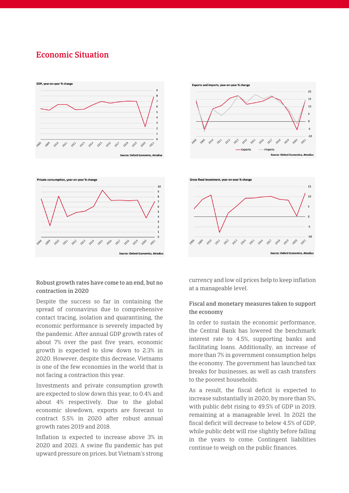### Economic Situation





 $15$ 

10

 $\overline{a}$ 

Gross fixed investment, year-on-year % change



#### Robust growth rates have come to an end, but no contraction in 2020

Despite the success so far in containing the spread of coronavirus due to comprehensive contact tracing, isolation and quarantining, the economic performance is severely impacted by the pandemic. After annual GDP growth rates of about 7% over the past five years, economic growth is expected to slow down to 2.3% in 2020. However, despite this decrease, Vietnams is one of the few economies in the world that is not facing a contraction this year.

Investments and private consumption growth are expected to slow down this year, to 0.4% and about 4% respectively. Due to the global economic slowdown, exports are forecast to contract 5.5% in 2020 after robust annual growth rates 2019 and 2018.

Inflation is expected to increase above 3% in 2020 and 2021. A swine flu pandemic has put upward pressure on prices, but Vietnam's strong currency and low oil prices help to keep inflation at a manageable level.

2017

2018 2019

**Source: Oxford Economics, Atradius** 

2012 2012 2013 2014 2015 2016

#### Fiscal and monetary measures taken to support the economy

In order to sustain the economic performance, the Central Bank has lowered the benchmark interest rate to 4.5%, supporting banks and facilitating loans. Additionally, an increase of more than 7% in government consumption helps the economy. The government has launched tax breaks for businesses, as well as cash transfers to the poorest households.

As a result, the fiscal deficit is expected to increase substantially in 2020, by more than 5%, with public debt rising to 49.5% of GDP in 2019, remaining at a manageable level. In 2021 the fiscal deficit will decrease to below 4.5% of GDP, while public debt will rise slightly before falling in the years to come. Contingent liabilities continue to weigh on the public finances.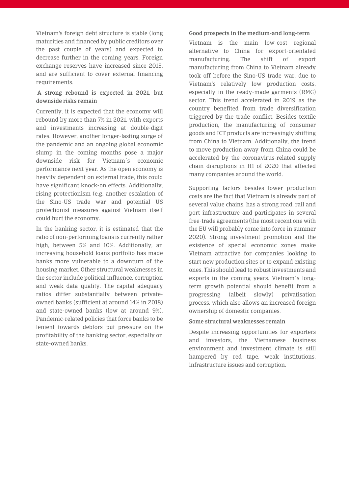Vietnam's foreign debt structure is stable (long maturities and financed by public creditors over the past couple of years) and expected to decrease further in the coming years. Foreign exchange reserves have increased since 2015, and are sufficient to cover external financing requirements.

#### A strong rebound is expected in 2021, but downside risks remain

Currently, it is expected that the economy will rebound by more than 7% in 2021, with exports and investments increasing at double-digit rates. However, another longer-lasting surge of the pandemic and an ongoing global economic slump in the coming months pose a major downside risk for Vietnam´s economic performance next year. As the open economy is heavily dependent on external trade, this could have significant knock-on effects. Additionally, rising protectionism (e.g. another escalation of the Sino-US trade war and potential US protectionist measures against Vietnam itself could hurt the economy.

In the banking sector, it is estimated that the ratio of non-performing loans is currently rather high, between 5% and 10%. Additionally, an increasing household loans portfolio has made banks more vulnerable to a downturn of the housing market. Other structural weaknesses in the sector include political influence, corruption and weak data quality. The capital adequacy ratios differ substantially between privateowned banks (sufficient at around 14% in 2018) and state-owned banks (low at around 9%). Pandemic-related policies that force banks to be lenient towards debtors put pressure on the profitability of the banking sector, especially on state-owned banks.

#### Good prospects in the medium-and long-term

Vietnam is the main low-cost regional alternative to China for export-orientated manufacturing. The shift of export manufacturing from China to Vietnam already took off before the Sino-US trade war, due to Vietnam's relatively low production costs, especially in the ready-made garments (RMG) sector. This trend accelerated in 2019 as the country benefited from trade diversification triggered by the trade conflict. Besides textile production, the manufacturing of consumer goods and ICT products are increasingly shifting from China to Vietnam. Additionally, the trend to move production away from China could be accelerated by the coronavirus-related supply chain disruptions in H1 of 2020 that affected many companies around the world.

Supporting factors besides lower production costs are the fact that Vietnam is already part of several value chains, has a strong road, rail and port infrastructure and participates in several free-trade agreements (the most recent one with the EU will probably come into force in summer 2020). Strong investment promotion and the existence of special economic zones make Vietnam attractive for companies looking to start new production sites or to expand existing ones. This should lead to robust investments and exports in the coming years. Vietnam´s longterm growth potential should benefit from a progressing (albeit slowly) privatisation process, which also allows an increased foreign ownership of domestic companies.

#### Some structural weaknesses remain

Despite increasing opportunities for exporters and investors, the Vietnamese business environment and investment climate is still hampered by red tape, weak institutions, infrastructure issues and corruption.